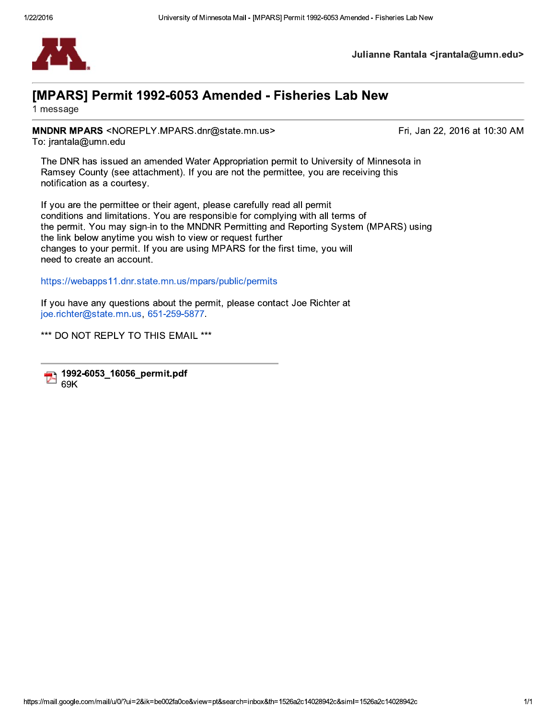

Julianne Rantala <jrantala@umn.edu>

## [MPARS] Permit 1992-6053 Amended - Fisheries Lab New

1 message

MNDNR MPARS <NOREPLY.MPARS.dnr@state.mn.us> To: jrantala@umn.edu

Fri, Jan 22, 2016 at 10:30 AM

The DNR has issued an amended Water Appropriation permit to University of Minnesota in Ramsey County (see attachment). If you are not the permittee, you are receiving this notification as a courtesy.

If you are the permittee or their agent, please carefully read all permit conditions and limitations. You are responsible for complying with all terms of the permit. You may sign-in to the MNDNR Permitting and Reporting System (MPARS) using the link below anytime you wish to view or request further changes to your permit. If you are using MPARS for the first time, you will need to create an account.

https://webapps11.dnr.state.mn.us/mpars/public/permits

If you have any questions about the permit, please contact Joe Richter at joe.richter@state.mn.us, 651-259-5877.

\*\*\* DO NOT REPLY TO THIS EMAIL \*\*\*

1992-6053\_16056\_permit.pdf Τ. 69K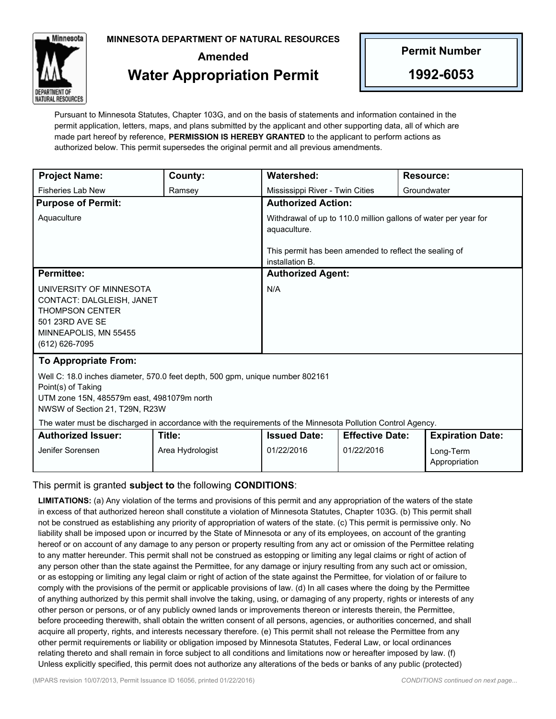**MINNESOTA DEPARTMENT OF NATURAL RESOURCES**



## **Amended Water Appropriation Permit**

**Permit Number**

**1992-6053**

Pursuant to Minnesota Statutes, Chapter 103G, and on the basis of statements and information contained in the permit application, letters, maps, and plans submitted by the applicant and other supporting data, all of which are made part hereof by reference, **PERMISSION IS HEREBY GRANTED** to the applicant to perform actions as authorized below. This permit supersedes the original permit and all previous amendments.

| <b>Project Name:</b>                                                                                                                                                                | County:                    | <b>Watershed:</b>                                                               |                                      |  | <b>Resource:</b>                                      |
|-------------------------------------------------------------------------------------------------------------------------------------------------------------------------------------|----------------------------|---------------------------------------------------------------------------------|--------------------------------------|--|-------------------------------------------------------|
| <b>Fisheries Lab New</b>                                                                                                                                                            | Ramsey                     | Mississippi River - Twin Cities                                                 |                                      |  | Groundwater                                           |
| <b>Purpose of Permit:</b>                                                                                                                                                           |                            | <b>Authorized Action:</b>                                                       |                                      |  |                                                       |
| Aquaculture                                                                                                                                                                         |                            | Withdrawal of up to 110.0 million gallons of water per year for<br>aquaculture. |                                      |  |                                                       |
|                                                                                                                                                                                     |                            | This permit has been amended to reflect the sealing of<br>installation B.       |                                      |  |                                                       |
| <b>Permittee:</b>                                                                                                                                                                   |                            | <b>Authorized Agent:</b>                                                        |                                      |  |                                                       |
| UNIVERSITY OF MINNESOTA<br>CONTACT: DALGLEISH, JANET<br><b>THOMPSON CENTER</b><br>501 23RD AVE SE<br>MINNEAPOLIS, MN 55455<br>(612) 626-7095                                        |                            | N/A                                                                             |                                      |  |                                                       |
| <b>To Appropriate From:</b>                                                                                                                                                         |                            |                                                                                 |                                      |  |                                                       |
| Well C: 18.0 inches diameter, 570.0 feet depth, 500 gpm, unique number 802161<br>Point(s) of Taking<br>UTM zone 15N, 485579m east, 4981079m north<br>NWSW of Section 21, T29N, R23W |                            |                                                                                 |                                      |  |                                                       |
| The water must be discharged in accordance with the requirements of the Minnesota Pollution Control Agency.                                                                         |                            |                                                                                 |                                      |  |                                                       |
| <b>Authorized Issuer:</b><br>Jenifer Sorensen                                                                                                                                       | Title:<br>Area Hydrologist | <b>Issued Date:</b><br>01/22/2016                                               | <b>Effective Date:</b><br>01/22/2016 |  | <b>Expiration Date:</b><br>Long-Term<br>Appropriation |

## This permit is granted **subject to** the following **CONDITIONS**:

**LIMITATIONS:** (a) Any violation of the terms and provisions of this permit and any appropriation of the waters of the state in excess of that authorized hereon shall constitute a violation of Minnesota Statutes, Chapter 103G. (b) This permit shall not be construed as establishing any priority of appropriation of waters of the state. (c) This permit is permissive only. No liability shall be imposed upon or incurred by the State of Minnesota or any of its employees, on account of the granting hereof or on account of any damage to any person or property resulting from any act or omission of the Permittee relating to any matter hereunder. This permit shall not be construed as estopping or limiting any legal claims or right of action of any person other than the state against the Permittee, for any damage or injury resulting from any such act or omission, or as estopping or limiting any legal claim or right of action of the state against the Permittee, for violation of or failure to comply with the provisions of the permit or applicable provisions of law. (d) In all cases where the doing by the Permittee of anything authorized by this permit shall involve the taking, using, or damaging of any property, rights or interests of any other person or persons, or of any publicly owned lands or improvements thereon or interests therein, the Permittee, before proceeding therewith, shall obtain the written consent of all persons, agencies, or authorities concerned, and shall acquire all property, rights, and interests necessary therefore. (e) This permit shall not release the Permittee from any other permit requirements or liability or obligation imposed by Minnesota Statutes, Federal Law, or local ordinances relating thereto and shall remain in force subject to all conditions and limitations now or hereafter imposed by law. (f) Unless explicitly specified, this permit does not authorize any alterations of the beds or banks of any public (protected)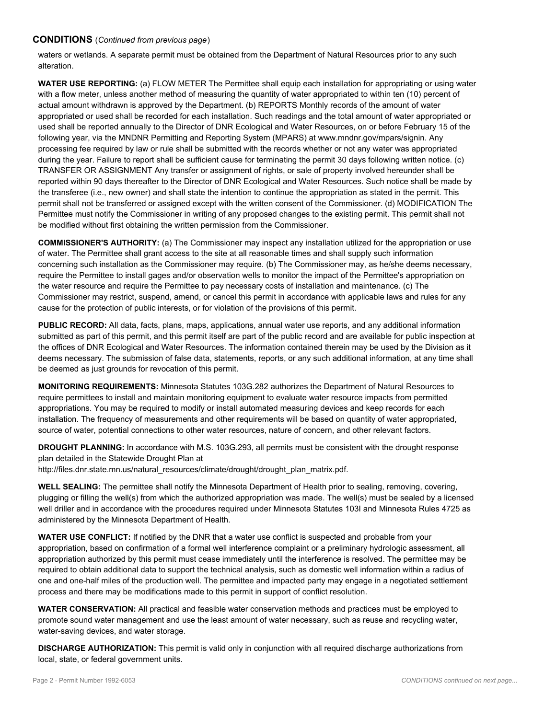## **CONDITIONS** (*Continued from previous page*)

waters or wetlands. A separate permit must be obtained from the Department of Natural Resources prior to any such alteration.

**WATER USE REPORTING:** (a) FLOW METER The Permittee shall equip each installation for appropriating or using water with a flow meter, unless another method of measuring the quantity of water appropriated to within ten (10) percent of actual amount withdrawn is approved by the Department. (b) REPORTS Monthly records of the amount of water appropriated or used shall be recorded for each installation. Such readings and the total amount of water appropriated or used shall be reported annually to the Director of DNR Ecological and Water Resources, on or before February 15 of the following year, via the MNDNR Permitting and Reporting System (MPARS) at www.mndnr.gov/mpars/signin. Any processing fee required by law or rule shall be submitted with the records whether or not any water was appropriated during the year. Failure to report shall be sufficient cause for terminating the permit 30 days following written notice. (c) TRANSFER OR ASSIGNMENT Any transfer or assignment of rights, or sale of property involved hereunder shall be reported within 90 days thereafter to the Director of DNR Ecological and Water Resources. Such notice shall be made by the transferee (i.e., new owner) and shall state the intention to continue the appropriation as stated in the permit. This permit shall not be transferred or assigned except with the written consent of the Commissioner. (d) MODIFICATION The Permittee must notify the Commissioner in writing of any proposed changes to the existing permit. This permit shall not be modified without first obtaining the written permission from the Commissioner.

**COMMISSIONER'S AUTHORITY:** (a) The Commissioner may inspect any installation utilized for the appropriation or use of water. The Permittee shall grant access to the site at all reasonable times and shall supply such information concerning such installation as the Commissioner may require. (b) The Commissioner may, as he/she deems necessary, require the Permittee to install gages and/or observation wells to monitor the impact of the Permittee's appropriation on the water resource and require the Permittee to pay necessary costs of installation and maintenance. (c) The Commissioner may restrict, suspend, amend, or cancel this permit in accordance with applicable laws and rules for any cause for the protection of public interests, or for violation of the provisions of this permit.

**PUBLIC RECORD:** All data, facts, plans, maps, applications, annual water use reports, and any additional information submitted as part of this permit, and this permit itself are part of the public record and are available for public inspection at the offices of DNR Ecological and Water Resources. The information contained therein may be used by the Division as it deems necessary. The submission of false data, statements, reports, or any such additional information, at any time shall be deemed as just grounds for revocation of this permit.

**MONITORING REQUIREMENTS:** Minnesota Statutes 103G.282 authorizes the Department of Natural Resources to require permittees to install and maintain monitoring equipment to evaluate water resource impacts from permitted appropriations. You may be required to modify or install automated measuring devices and keep records for each installation. The frequency of measurements and other requirements will be based on quantity of water appropriated, source of water, potential connections to other water resources, nature of concern, and other relevant factors.

**DROUGHT PLANNING:** In accordance with M.S. 103G.293, all permits must be consistent with the drought response plan detailed in the Statewide Drought Plan at

http://files.dnr.state.mn.us/natural\_resources/climate/drought/drought\_plan\_matrix.pdf.

**WELL SEALING:** The permittee shall notify the Minnesota Department of Health prior to sealing, removing, covering, plugging or filling the well(s) from which the authorized appropriation was made. The well(s) must be sealed by a licensed well driller and in accordance with the procedures required under Minnesota Statutes 103I and Minnesota Rules 4725 as administered by the Minnesota Department of Health.

**WATER USE CONFLICT:** If notified by the DNR that a water use conflict is suspected and probable from your appropriation, based on confirmation of a formal well interference complaint or a preliminary hydrologic assessment, all appropriation authorized by this permit must cease immediately until the interference is resolved. The permittee may be required to obtain additional data to support the technical analysis, such as domestic well information within a radius of one and one-half miles of the production well. The permittee and impacted party may engage in a negotiated settlement process and there may be modifications made to this permit in support of conflict resolution.

**WATER CONSERVATION:** All practical and feasible water conservation methods and practices must be employed to promote sound water management and use the least amount of water necessary, such as reuse and recycling water, water-saving devices, and water storage.

**DISCHARGE AUTHORIZATION:** This permit is valid only in conjunction with all required discharge authorizations from local, state, or federal government units.